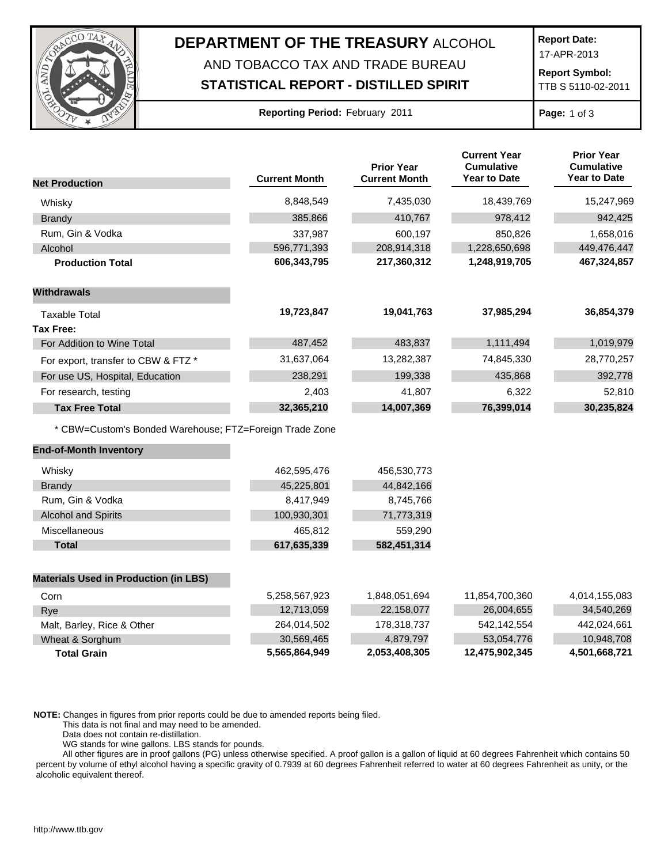

## **DEPARTMENT OF THE TREASURY** ALCOHOL AND TOBACCO TAX AND TRADE BUREAU

## **STATISTICAL REPORT - DISTILLED SPIRIT**

**Report Date:**

17-APR-2013

**Report Symbol:** TTB S 5110-02-2011

**Page:** 1 of 3

|                                                         | <b>Current Month</b> | <b>Prior Year</b><br><b>Current Month</b> | <b>Current Year</b><br><b>Cumulative</b><br><b>Year to Date</b> | <b>Prior Year</b><br><b>Cumulative</b><br><b>Year to Date</b> |
|---------------------------------------------------------|----------------------|-------------------------------------------|-----------------------------------------------------------------|---------------------------------------------------------------|
| <b>Net Production</b>                                   |                      |                                           |                                                                 |                                                               |
| Whisky                                                  | 8,848,549            | 7,435,030                                 | 18,439,769                                                      | 15,247,969                                                    |
| <b>Brandy</b>                                           | 385,866              | 410,767                                   | 978,412                                                         | 942,425                                                       |
| Rum, Gin & Vodka                                        | 337,987              | 600,197                                   | 850,826                                                         | 1,658,016                                                     |
| Alcohol                                                 | 596,771,393          | 208,914,318                               | 1,228,650,698                                                   | 449,476,447                                                   |
| <b>Production Total</b>                                 | 606,343,795          | 217,360,312                               | 1,248,919,705                                                   | 467,324,857                                                   |
| <b>Withdrawals</b>                                      |                      |                                           |                                                                 |                                                               |
| Taxable Total                                           | 19,723,847           | 19,041,763                                | 37,985,294                                                      | 36,854,379                                                    |
| <b>Tax Free:</b>                                        |                      |                                           |                                                                 |                                                               |
| For Addition to Wine Total                              | 487,452              | 483,837                                   | 1,111,494                                                       | 1,019,979                                                     |
| For export, transfer to CBW & FTZ *                     | 31,637,064           | 13,282,387                                | 74,845,330                                                      | 28,770,257                                                    |
| For use US, Hospital, Education                         | 238,291              | 199,338                                   | 435,868                                                         | 392,778                                                       |
| For research, testing                                   | 2,403                | 41,807                                    | 6,322                                                           | 52,810                                                        |
| <b>Tax Free Total</b>                                   | 32,365,210           | 14,007,369                                | 76,399,014                                                      | 30,235,824                                                    |
| * CBW=Custom's Bonded Warehouse; FTZ=Foreign Trade Zone |                      |                                           |                                                                 |                                                               |
| <b>End-of-Month Inventory</b>                           |                      |                                           |                                                                 |                                                               |
| Whisky                                                  | 462,595,476          | 456,530,773                               |                                                                 |                                                               |
| <b>Brandy</b>                                           | 45,225,801           | 44,842,166                                |                                                                 |                                                               |
| Rum, Gin & Vodka                                        | 8,417,949            | 8,745,766                                 |                                                                 |                                                               |
| <b>Alcohol and Spirits</b>                              | 100,930,301          | 71,773,319                                |                                                                 |                                                               |
| Miscellaneous                                           | 465,812              | 559,290                                   |                                                                 |                                                               |
| <b>Total</b>                                            | 617,635,339          | 582,451,314                               |                                                                 |                                                               |
| <b>Materials Used in Production (in LBS)</b>            |                      |                                           |                                                                 |                                                               |
| Corn                                                    | 5,258,567,923        | 1,848,051,694                             | 11,854,700,360                                                  | 4,014,155,083                                                 |
| Rye                                                     | 12,713,059           | 22,158,077                                | 26,004,655                                                      | 34,540,269                                                    |
| Malt, Barley, Rice & Other                              | 264,014,502          | 178,318,737                               | 542,142,554                                                     | 442,024,661                                                   |
| Wheat & Sorghum                                         | 30,569,465           | 4,879,797                                 | 53,054,776                                                      | 10,948,708                                                    |

**NOTE:** Changes in figures from prior reports could be due to amended reports being filed.

This data is not final and may need to be amended.

Data does not contain re-distillation.

WG stands for wine gallons. LBS stands for pounds.

All other figures are in proof gallons (PG) unless otherwise specified. A proof gallon is a gallon of liquid at 60 degrees Fahrenheit which contains 50 percent by volume of ethyl alcohol having a specific gravity of 0.7939 at 60 degrees Fahrenheit referred to water at 60 degrees Fahrenheit as unity, or the alcoholic equivalent thereof.

**Total Grain 5,565,864,949 2,053,408,305 12,475,902,345 4,501,668,721**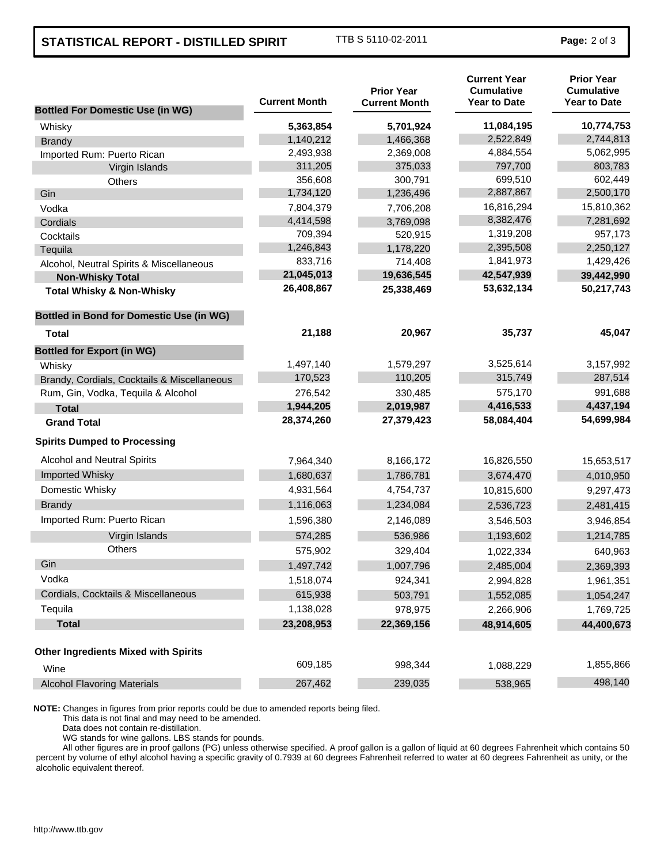## **STATISTICAL REPORT - DISTILLED SPIRIT** TTB S 5110-02-2011 **Page:** 2 of 3

| <b>Bottled For Domestic Use (in WG)</b>         | <b>Current Month</b> | <b>Prior Year</b><br><b>Current Month</b> | <b>Current Year</b><br><b>Cumulative</b><br><b>Year to Date</b> | <b>Prior Year</b><br><b>Cumulative</b><br><b>Year to Date</b> |
|-------------------------------------------------|----------------------|-------------------------------------------|-----------------------------------------------------------------|---------------------------------------------------------------|
| Whisky                                          | 5,363,854            | 5,701,924                                 | 11,084,195                                                      | 10,774,753                                                    |
| <b>Brandy</b>                                   | 1,140,212            | 1,466,368                                 | 2,522,849                                                       | 2,744,813                                                     |
| Imported Rum: Puerto Rican                      | 2,493,938            | 2,369,008                                 | 4,884,554                                                       | 5,062,995                                                     |
| Virgin Islands                                  | 311,205              | 375,033                                   | 797,700                                                         | 803,783                                                       |
| Others                                          | 356,608              | 300,791                                   | 699,510                                                         | 602,449                                                       |
| Gin                                             | 1,734,120            | 1,236,496                                 | 2,887,867                                                       | 2,500,170                                                     |
| Vodka                                           | 7,804,379            | 7,706,208                                 | 16,816,294                                                      | 15,810,362                                                    |
| Cordials                                        | 4,414,598            | 3,769,098                                 | 8,382,476                                                       | 7,281,692                                                     |
| Cocktails                                       | 709,394              | 520,915                                   | 1,319,208                                                       | 957,173                                                       |
| Tequila                                         | 1,246,843            | 1,178,220                                 | 2,395,508                                                       | 2,250,127                                                     |
| Alcohol, Neutral Spirits & Miscellaneous        | 833,716              | 714,408                                   | 1,841,973                                                       | 1,429,426                                                     |
| <b>Non-Whisky Total</b>                         | 21,045,013           | 19,636,545                                | 42,547,939                                                      | 39,442,990                                                    |
| <b>Total Whisky &amp; Non-Whisky</b>            | 26,408,867           | 25,338,469                                | 53,632,134                                                      | 50,217,743                                                    |
| <b>Bottled in Bond for Domestic Use (in WG)</b> |                      |                                           |                                                                 |                                                               |
| Total                                           | 21,188               | 20,967                                    | 35,737                                                          | 45,047                                                        |
| <b>Bottled for Export (in WG)</b>               |                      |                                           |                                                                 |                                                               |
| Whisky                                          | 1,497,140            | 1,579,297                                 | 3,525,614                                                       | 3,157,992                                                     |
| Brandy, Cordials, Cocktails & Miscellaneous     | 170,523              | 110,205                                   | 315,749                                                         | 287,514                                                       |
| Rum, Gin, Vodka, Tequila & Alcohol              | 276,542              | 330,485                                   | 575,170                                                         | 991,688                                                       |
| <b>Total</b>                                    | 1,944,205            | 2,019,987                                 | 4,416,533                                                       | 4,437,194                                                     |
| <b>Grand Total</b>                              | 28,374,260           | 27,379,423                                | 58,084,404                                                      | 54,699,984                                                    |
| <b>Spirits Dumped to Processing</b>             |                      |                                           |                                                                 |                                                               |
| Alcohol and Neutral Spirits                     | 7,964,340            | 8,166,172                                 | 16,826,550                                                      | 15,653,517                                                    |
| Imported Whisky                                 | 1,680,637            | 1,786,781                                 | 3,674,470                                                       | 4,010,950                                                     |
| Domestic Whisky                                 | 4,931,564            | 4,754,737                                 | 10,815,600                                                      | 9,297,473                                                     |
| <b>Brandy</b>                                   | 1,116,063            | 1,234,084                                 | 2,536,723                                                       | 2,481,415                                                     |
| Imported Rum: Puerto Rican                      | 1,596,380            | 2,146,089                                 | 3,546,503                                                       | 3,946,854                                                     |
| Virgin Islands                                  | 574,285              | 536,986                                   | 1,193,602                                                       | 1,214,785                                                     |
| <b>Others</b>                                   | 575,902              | 329,404                                   | 1,022,334                                                       | 640,963                                                       |
| Gin                                             | 1,497,742            | 1,007,796                                 | 2,485,004                                                       | 2,369,393                                                     |
| Vodka                                           | 1,518,074            | 924,341                                   | 2,994,828                                                       | 1,961,351                                                     |
| Cordials, Cocktails & Miscellaneous             | 615,938              | 503,791                                   | 1,552,085                                                       | 1,054,247                                                     |
| Tequila                                         | 1,138,028            | 978,975                                   | 2,266,906                                                       | 1,769,725                                                     |
| <b>Total</b>                                    | 23,208,953           | 22,369,156                                | 48,914,605                                                      | 44,400,673                                                    |
| <b>Other Ingredients Mixed with Spirits</b>     |                      |                                           |                                                                 |                                                               |
| Wine                                            | 609,185              | 998,344                                   | 1,088,229                                                       | 1,855,866                                                     |
| <b>Alcohol Flavoring Materials</b>              | 267,462              | 239,035                                   | 538,965                                                         | 498,140                                                       |

**NOTE:** Changes in figures from prior reports could be due to amended reports being filed.

This data is not final and may need to be amended.

Data does not contain re-distillation.

WG stands for wine gallons. LBS stands for pounds.

All other figures are in proof gallons (PG) unless otherwise specified. A proof gallon is a gallon of liquid at 60 degrees Fahrenheit which contains 50 percent by volume of ethyl alcohol having a specific gravity of 0.7939 at 60 degrees Fahrenheit referred to water at 60 degrees Fahrenheit as unity, or the alcoholic equivalent thereof.